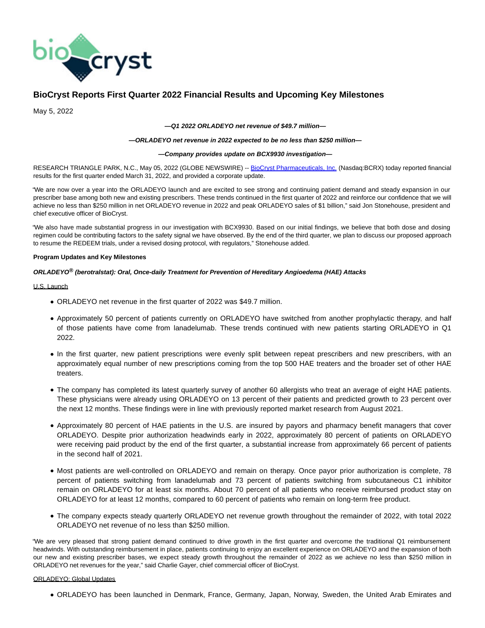

# **BioCryst Reports First Quarter 2022 Financial Results and Upcoming Key Milestones**

May 5, 2022

#### **—Q1 2022 ORLADEYO net revenue of \$49.7 million—**

### **—ORLADEYO net revenue in 2022 expected to be no less than \$250 million—**

### **—Company provides update on BCX9930 investigation—**

RESEARCH TRIANGLE PARK, N.C., May 05, 2022 (GLOBE NEWSWIRE) -- [BioCryst Pharmaceuticals, Inc. \(](https://www.globenewswire.com/Tracker?data=uHyCvIIgt2nKlkJG0Fdzsq06kLqXdaN6jlStdByMxFKiWUVyPQrUuxIzQM2BGRf6mk4_r3mufnHqjYCmzed8EpNk7yypQ6Ivv3epBIeC-0Y=)Nasdaq:BCRX) today reported financial results for the first quarter ended March 31, 2022, and provided a corporate update.

"We are now over a year into the ORLADEYO launch and are excited to see strong and continuing patient demand and steady expansion in our prescriber base among both new and existing prescribers. These trends continued in the first quarter of 2022 and reinforce our confidence that we will achieve no less than \$250 million in net ORLADEYO revenue in 2022 and peak ORLADEYO sales of \$1 billion," said Jon Stonehouse, president and chief executive officer of BioCryst.

"We also have made substantial progress in our investigation with BCX9930. Based on our initial findings, we believe that both dose and dosing regimen could be contributing factors to the safety signal we have observed. By the end of the third quarter, we plan to discuss our proposed approach to resume the REDEEM trials, under a revised dosing protocol, with regulators," Stonehouse added.

## **Program Updates and Key Milestones**

## **ORLADEYO® (berotralstat): Oral, Once-daily Treatment for Prevention of Hereditary Angioedema (HAE) Attacks**

## U.S. Launch

- ORLADEYO net revenue in the first quarter of 2022 was \$49.7 million.
- Approximately 50 percent of patients currently on ORLADEYO have switched from another prophylactic therapy, and half of those patients have come from lanadelumab. These trends continued with new patients starting ORLADEYO in Q1 2022.
- In the first quarter, new patient prescriptions were evenly split between repeat prescribers and new prescribers, with an approximately equal number of new prescriptions coming from the top 500 HAE treaters and the broader set of other HAE treaters.
- The company has completed its latest quarterly survey of another 60 allergists who treat an average of eight HAE patients. These physicians were already using ORLADEYO on 13 percent of their patients and predicted growth to 23 percent over the next 12 months. These findings were in line with previously reported market research from August 2021.
- Approximately 80 percent of HAE patients in the U.S. are insured by payors and pharmacy benefit managers that cover ORLADEYO. Despite prior authorization headwinds early in 2022, approximately 80 percent of patients on ORLADEYO were receiving paid product by the end of the first quarter, a substantial increase from approximately 66 percent of patients in the second half of 2021.
- Most patients are well-controlled on ORLADEYO and remain on therapy. Once payor prior authorization is complete, 78 percent of patients switching from lanadelumab and 73 percent of patients switching from subcutaneous C1 inhibitor remain on ORLADEYO for at least six months. About 70 percent of all patients who receive reimbursed product stay on ORLADEYO for at least 12 months, compared to 60 percent of patients who remain on long-term free product.
- The company expects steady quarterly ORLADEYO net revenue growth throughout the remainder of 2022, with total 2022 ORLADEYO net revenue of no less than \$250 million.

"We are very pleased that strong patient demand continued to drive growth in the first quarter and overcome the traditional Q1 reimbursement headwinds. With outstanding reimbursement in place, patients continuing to enjoy an excellent experience on ORLADEYO and the expansion of both our new and existing prescriber bases, we expect steady growth throughout the remainder of 2022 as we achieve no less than \$250 million in ORLADEYO net revenues for the year," said Charlie Gayer, chief commercial officer of BioCryst.

## ORLADEYO: Global Updates

ORLADEYO has been launched in Denmark, France, Germany, Japan, Norway, Sweden, the United Arab Emirates and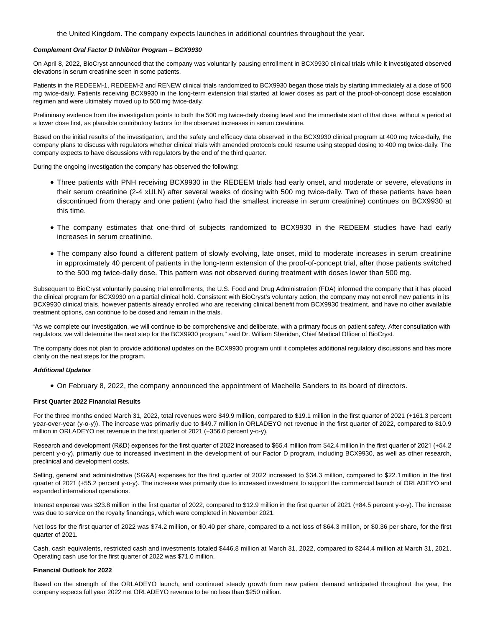the United Kingdom. The company expects launches in additional countries throughout the year.

#### **Complement Oral Factor D Inhibitor Program – BCX9930**

On April 8, 2022, BioCryst announced that the company was voluntarily pausing enrollment in BCX9930 clinical trials while it investigated observed elevations in serum creatinine seen in some patients.

Patients in the REDEEM-1, REDEEM-2 and RENEW clinical trials randomized to BCX9930 began those trials by starting immediately at a dose of 500 mg twice-daily. Patients receiving BCX9930 in the long-term extension trial started at lower doses as part of the proof-of-concept dose escalation regimen and were ultimately moved up to 500 mg twice-daily.

Preliminary evidence from the investigation points to both the 500 mg twice-daily dosing level and the immediate start of that dose, without a period at a lower dose first, as plausible contributory factors for the observed increases in serum creatinine.

Based on the initial results of the investigation, and the safety and efficacy data observed in the BCX9930 clinical program at 400 mg twice-daily, the company plans to discuss with regulators whether clinical trials with amended protocols could resume using stepped dosing to 400 mg twice-daily. The company expects to have discussions with regulators by the end of the third quarter.

During the ongoing investigation the company has observed the following:

- Three patients with PNH receiving BCX9930 in the REDEEM trials had early onset, and moderate or severe, elevations in their serum creatinine (2-4 xULN) after several weeks of dosing with 500 mg twice-daily. Two of these patients have been discontinued from therapy and one patient (who had the smallest increase in serum creatinine) continues on BCX9930 at this time.
- The company estimates that one-third of subjects randomized to BCX9930 in the REDEEM studies have had early increases in serum creatinine.
- The company also found a different pattern of slowly evolving, late onset, mild to moderate increases in serum creatinine in approximately 40 percent of patients in the long-term extension of the proof-of-concept trial, after those patients switched to the 500 mg twice-daily dose. This pattern was not observed during treatment with doses lower than 500 mg.

Subsequent to BioCryst voluntarily pausing trial enrollments, the U.S. Food and Drug Administration (FDA) informed the company that it has placed the clinical program for BCX9930 on a partial clinical hold. Consistent with BioCryst's voluntary action, the company may not enroll new patients in its BCX9930 clinical trials, however patients already enrolled who are receiving clinical benefit from BCX9930 treatment, and have no other available treatment options, can continue to be dosed and remain in the trials.

"As we complete our investigation, we will continue to be comprehensive and deliberate, with a primary focus on patient safety. After consultation with regulators, we will determine the next step for the BCX9930 program," said Dr. William Sheridan, Chief Medical Officer of BioCryst.

The company does not plan to provide additional updates on the BCX9930 program until it completes additional regulatory discussions and has more clarity on the next steps for the program.

#### **Additional Updates**

On February 8, 2022, the company announced the appointment of Machelle Sanders to its board of directors.

#### **First Quarter 2022 Financial Results**

For the three months ended March 31, 2022, total revenues were \$49.9 million, compared to \$19.1 million in the first quarter of 2021 (+161.3 percent year-over-year (y-o-y)). The increase was primarily due to \$49.7 million in ORLADEYO net revenue in the first quarter of 2022, compared to \$10.9 million in ORLADEYO net revenue in the first quarter of 2021 (+356.0 percent y-o-y).

Research and development (R&D) expenses for the first quarter of 2022 increased to \$65.4 million from \$42.4 million in the first quarter of 2021 (+54.2 percent y-o-y), primarily due to increased investment in the development of our Factor D program, including BCX9930, as well as other research, preclinical and development costs.

Selling, general and administrative (SG&A) expenses for the first quarter of 2022 increased to \$34.3 million, compared to \$22.1 million in the first quarter of 2021 (+55.2 percent y-o-y). The increase was primarily due to increased investment to support the commercial launch of ORLADEYO and expanded international operations.

Interest expense was \$23.8 million in the first quarter of 2022, compared to \$12.9 million in the first quarter of 2021 (+84.5 percent y-o-y). The increase was due to service on the royalty financings, which were completed in November 2021.

Net loss for the first quarter of 2022 was \$74.2 million, or \$0.40 per share, compared to a net loss of \$64.3 million, or \$0.36 per share, for the first quarter of 2021.

Cash, cash equivalents, restricted cash and investments totaled \$446.8 million at March 31, 2022, compared to \$244.4 million at March 31, 2021. Operating cash use for the first quarter of 2022 was \$71.0 million.

## **Financial Outlook for 2022**

Based on the strength of the ORLADEYO launch, and continued steady growth from new patient demand anticipated throughout the year, the company expects full year 2022 net ORLADEYO revenue to be no less than \$250 million.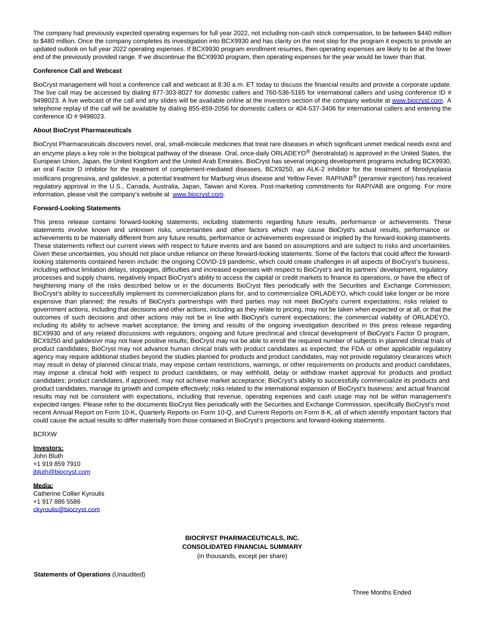The company had previously expected operating expenses for full year 2022, not including non-cash stock compensation, to be between \$440 million to \$480 million. Once the company completes its investigation into BCX9930 and has clarity on the next step for the program it expects to provide an updated outlook on full year 2022 operating expenses. If BCX9930 program enrollment resumes, then operating expenses are likely to be at the lower end of the previously provided range. If we discontinue the BCX9930 program, then operating expenses for the year would be lower than that.

### **Conference Call and Webcast**

BioCryst management will host a conference call and webcast at 8:30 a.m. ET today to discuss the financial results and provide a corporate update. The live call may be accessed by dialing 877-303-8027 for domestic callers and 760-536-5165 for international callers and using conference ID # 9498023. A live webcast of the call and any slides will be available online at the investors section of the company website at [www.biocryst.com.](https://www.globenewswire.com/Tracker?data=1xpOCXLRBRS3DiV3uLNuP66rNPtomSs4QXTDmqr0fwrr3D4csKKloAQV_4TgCrTUMIDFoS6iuMBS8yoFRnqUVw==) A telephone replay of the call will be available by dialing 855-859-2056 for domestic callers or 404-537-3406 for international callers and entering the conference ID # 9498023.

## **About BioCryst Pharmaceuticals**

BioCryst Pharmaceuticals discovers novel, oral, small-molecule medicines that treat rare diseases in which significant unmet medical needs exist and an enzyme plays a key role in the biological pathway of the disease. Oral, once-daily ORLADEYO® (berotralstat) is approved in the United States, the European Union, Japan, the United Kingdom and the United Arab Emirates. BioCryst has several ongoing development programs including BCX9930, an oral Factor D inhibitor for the treatment of complement-mediated diseases, BCX9250, an ALK-2 inhibitor for the treatment of fibrodysplasia ossificans progressiva, and galidesivir, a potential treatment for Marburg virus disease and Yellow Fever. RAPIVAB® (peramivir injection) has received regulatory approval in the U.S., Canada, Australia, Japan, Taiwan and Korea. Post-marketing commitments for RAPIVAB are ongoing. For more information, please visit the company's website at [www.biocryst.com.](https://www.globenewswire.com/Tracker?data=1xpOCXLRBRS3DiV3uLNuP9pm7bFfOUwVdzOlimqKU0GRWWKgiXJUkcPfyP_un54nK76gibgPz1bRlTMLB5W0gw==)

## **Forward-Looking Statements**

This press release contains forward-looking statements, including statements regarding future results, performance or achievements. These statements involve known and unknown risks, uncertainties and other factors which may cause BioCryst's actual results, performance or achievements to be materially different from any future results, performance or achievements expressed or implied by the forward-looking statements. These statements reflect our current views with respect to future events and are based on assumptions and are subject to risks and uncertainties. Given these uncertainties, you should not place undue reliance on these forward-looking statements. Some of the factors that could affect the forwardlooking statements contained herein include: the ongoing COVID-19 pandemic, which could create challenges in all aspects of BioCryst's business, including without limitation delays, stoppages, difficulties and increased expenses with respect to BioCryst's and its partners' development, regulatory processes and supply chains, negatively impact BioCryst's ability to access the capital or credit markets to finance its operations, or have the effect of heightening many of the risks described below or in the documents BioCryst files periodically with the Securities and Exchange Commission; BioCryst's ability to successfully implement its commercialization plans for, and to commercialize ORLADEYO, which could take longer or be more expensive than planned; the results of BioCryst's partnerships with third parties may not meet BioCryst's current expectations; risks related to government actions, including that decisions and other actions, including as they relate to pricing, may not be taken when expected or at all, or that the outcomes of such decisions and other actions may not be in line with BioCryst's current expectations; the commercial viability of ORLADEYO, including its ability to achieve market acceptance; the timing and results of the ongoing investigation described in this press release regarding BCX9930 and of any related discussions with regulators; ongoing and future preclinical and clinical development of BioCryst's Factor D program, BCX9250 and galidesivir may not have positive results; BioCryst may not be able to enroll the required number of subjects in planned clinical trials of product candidates; BioCryst may not advance human clinical trials with product candidates as expected; the FDA or other applicable regulatory agency may require additional studies beyond the studies planned for products and product candidates, may not provide regulatory clearances which may result in delay of planned clinical trials, may impose certain restrictions, warnings, or other requirements on products and product candidates, may impose a clinical hold with respect to product candidates, or may withhold, delay or withdraw market approval for products and product candidates; product candidates, if approved, may not achieve market acceptance; BioCryst's ability to successfully commercialize its products and product candidates, manage its growth and compete effectively; risks related to the international expansion of BioCryst's business; and actual financial results may not be consistent with expectations, including that revenue, operating expenses and cash usage may not be within management's expected ranges. Please refer to the documents BioCryst files periodically with the Securities and Exchange Commission, specifically BioCryst's most recent Annual Report on Form 10-K, Quarterly Reports on Form 10-Q, and Current Reports on Form 8-K, all of which identify important factors that could cause the actual results to differ materially from those contained in BioCryst's projections and forward-looking statements.

**BCRXW** 

#### **Investors:**

John Bluth +1 919 859 7910 ibluth@biocryst.com

#### **Media:**

Catherine Collier Kyroulis +1 917 886 5586 [ckyroulis@biocryst.com](https://www.globenewswire.com/Tracker?data=uxBRKdbNkXR26Kx2U_08T0CK9in5bXi21SYm5GR59CPZ82ZFtkYgwGBbymFpL9bdvz2zSoUI1KoZvQ0dzjHa_ahpCOYBF4UiB8daXeLZxaA=)

> **BIOCRYST PHARMACEUTICALS, INC. CONSOLIDATED FINANCIAL SUMMARY** (in thousands, except per share)